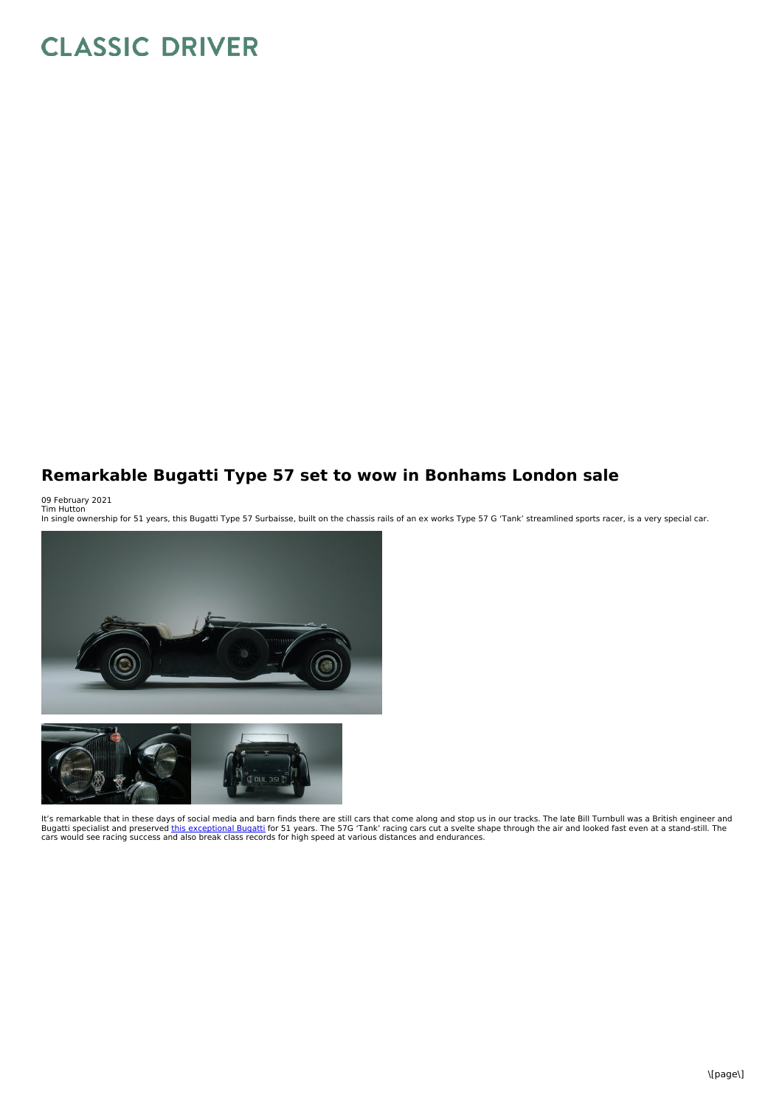## **CLASSIC DRIVER**

## **Remarkable Bugatti Type 57 set to wow in Bonhams London sale**

09 February 2021<br>Tim Hutton<br>In single ownership for 51 years, this Bugatti Type 57 Surbaisse, built on the chassis rails of an ex works Type 57 G 'Tank' streamlined sports racer, is a very special car.



It's remarkable that in these days of social media and barn finds there are still cars that come along and stop us in our tracks. The late Bill Turnbull was a British engineer and Bugatti specialist and preserved <u>this [exceptional](https://www.classicdriver.com/en/car/bugatti/type-57/1937/815471) Bugatti</u> for 51 years. The 57G 'Tank' racing cars cut a svelte shape through the air and looked fast even at a stand-still. The<br>cars would see racing success and also brea